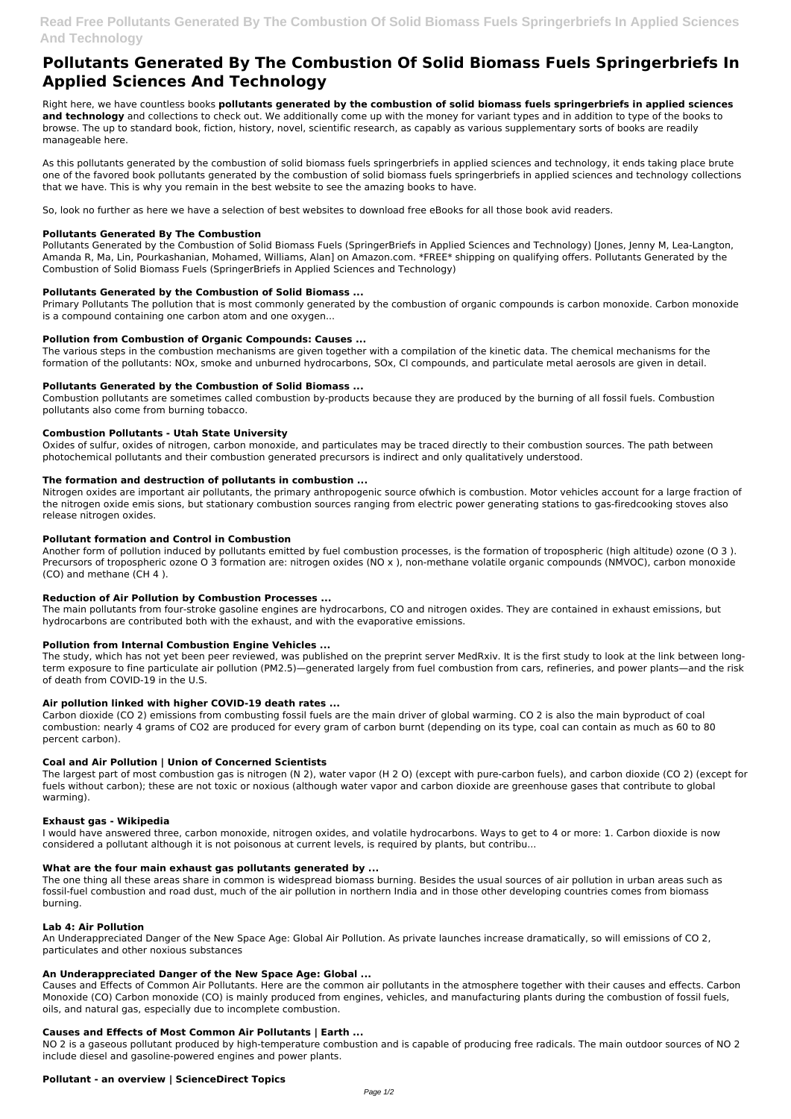# **Read Free Pollutants Generated By The Combustion Of Solid Biomass Fuels Springerbriefs In Applied Sciences And Technology**

# **Pollutants Generated By The Combustion Of Solid Biomass Fuels Springerbriefs In Applied Sciences And Technology**

Right here, we have countless books **pollutants generated by the combustion of solid biomass fuels springerbriefs in applied sciences and technology** and collections to check out. We additionally come up with the money for variant types and in addition to type of the books to browse. The up to standard book, fiction, history, novel, scientific research, as capably as various supplementary sorts of books are readily manageable here.

As this pollutants generated by the combustion of solid biomass fuels springerbriefs in applied sciences and technology, it ends taking place brute one of the favored book pollutants generated by the combustion of solid biomass fuels springerbriefs in applied sciences and technology collections that we have. This is why you remain in the best website to see the amazing books to have.

So, look no further as here we have a selection of best websites to download free eBooks for all those book avid readers.

### **Pollutants Generated By The Combustion**

Pollutants Generated by the Combustion of Solid Biomass Fuels (SpringerBriefs in Applied Sciences and Technology) [Jones, Jenny M, Lea-Langton, Amanda R, Ma, Lin, Pourkashanian, Mohamed, Williams, Alan] on Amazon.com. \*FREE\* shipping on qualifying offers. Pollutants Generated by the Combustion of Solid Biomass Fuels (SpringerBriefs in Applied Sciences and Technology)

### **Pollutants Generated by the Combustion of Solid Biomass ...**

Primary Pollutants The pollution that is most commonly generated by the combustion of organic compounds is carbon monoxide. Carbon monoxide is a compound containing one carbon atom and one oxygen...

### **Pollution from Combustion of Organic Compounds: Causes ...**

The various steps in the combustion mechanisms are given together with a compilation of the kinetic data. The chemical mechanisms for the formation of the pollutants: NOx, smoke and unburned hydrocarbons, SOx, Cl compounds, and particulate metal aerosols are given in detail.

### **Pollutants Generated by the Combustion of Solid Biomass ...**

Combustion pollutants are sometimes called combustion by-products because they are produced by the burning of all fossil fuels. Combustion pollutants also come from burning tobacco.

### **Combustion Pollutants - Utah State University**

Oxides of sulfur, oxides of nitrogen, carbon monoxide, and particulates may be traced directly to their combustion sources. The path between photochemical pollutants and their combustion generated precursors is indirect and only qualitatively understood.

### **The formation and destruction of pollutants in combustion ...**

Nitrogen oxides are important air pollutants, the primary anthropogenic source ofwhich is combustion. Motor vehicles account for a large fraction of the nitrogen oxide emis sions, but stationary combustion sources ranging from electric power generating stations to gas-firedcooking stoves also release nitrogen oxides.

### **Pollutant formation and Control in Combustion**

Another form of pollution induced by pollutants emitted by fuel combustion processes, is the formation of tropospheric (high altitude) ozone (O 3 ). Precursors of tropospheric ozone O 3 formation are: nitrogen oxides (NO x ), non-methane volatile organic compounds (NMVOC), carbon monoxide (CO) and methane (CH 4 ).

### **Reduction of Air Pollution by Combustion Processes ...**

The main pollutants from four-stroke gasoline engines are hydrocarbons, CO and nitrogen oxides. They are contained in exhaust emissions, but hydrocarbons are contributed both with the exhaust, and with the evaporative emissions.

### **Pollution from Internal Combustion Engine Vehicles ...**

The study, which has not yet been peer reviewed, was published on the preprint server MedRxiv. It is the first study to look at the link between longterm exposure to fine particulate air pollution (PM2.5)—generated largely from fuel combustion from cars, refineries, and power plants—and the risk of death from COVID-19 in the U.S.

### **Air pollution linked with higher COVID-19 death rates ...**

Carbon dioxide (CO 2) emissions from combusting fossil fuels are the main driver of global warming. CO 2 is also the main byproduct of coal combustion: nearly 4 grams of CO2 are produced for every gram of carbon burnt (depending on its type, coal can contain as much as 60 to 80 percent carbon).

### **Coal and Air Pollution | Union of Concerned Scientists**

The largest part of most combustion gas is nitrogen (N 2), water vapor (H 2 O) (except with pure-carbon fuels), and carbon dioxide (CO 2) (except for fuels without carbon); these are not toxic or noxious (although water vapor and carbon dioxide are greenhouse gases that contribute to global warming).

### **Exhaust gas - Wikipedia**

I would have answered three, carbon monoxide, nitrogen oxides, and volatile hydrocarbons. Ways to get to 4 or more: 1. Carbon dioxide is now considered a pollutant although it is not poisonous at current levels, is required by plants, but contribu...

#### **What are the four main exhaust gas pollutants generated by ...**

The one thing all these areas share in common is widespread biomass burning. Besides the usual sources of air pollution in urban areas such as fossil-fuel combustion and road dust, much of the air pollution in northern India and in those other developing countries comes from biomass burning.

#### **Lab 4: Air Pollution**

An Underappreciated Danger of the New Space Age: Global Air Pollution. As private launches increase dramatically, so will emissions of CO 2, particulates and other noxious substances

#### **An Underappreciated Danger of the New Space Age: Global ...**

Causes and Effects of Common Air Pollutants. Here are the common air pollutants in the atmosphere together with their causes and effects. Carbon Monoxide (CO) Carbon monoxide (CO) is mainly produced from engines, vehicles, and manufacturing plants during the combustion of fossil fuels, oils, and natural gas, especially due to incomplete combustion.

#### **Causes and Effects of Most Common Air Pollutants | Earth ...**

NO 2 is a gaseous pollutant produced by high-temperature combustion and is capable of producing free radicals. The main outdoor sources of NO 2 include diesel and gasoline-powered engines and power plants.

#### **Pollutant - an overview | ScienceDirect Topics**